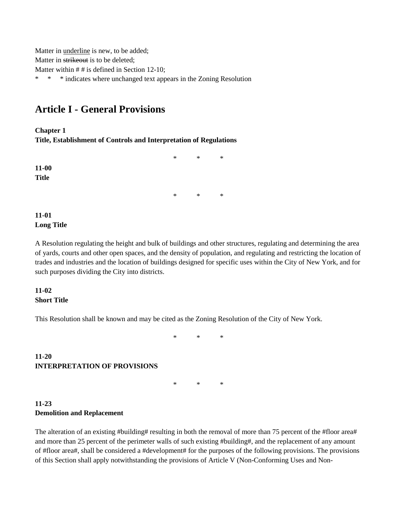Matter in underline is new, to be added; Matter in strikeout is to be deleted; Matter within # # is defined in Section 12-10; \* \* \* indicates where unchanged text appears in the Zoning Resolution

# **Article I - General Provisions**

**Chapter 1**

**Title, Establishment of Controls and Interpretation of Regulations**

**11-00 Title**

\* \* \*

\* \* \*

### **11-01 Long Title**

A Resolution regulating the height and bulk of buildings and other structures, regulating and determining the area of yards, courts and other open spaces, and the density of population, and regulating and restricting the location of trades and industries and the location of buildings designed for specific uses within the City of New York, and for such purposes dividing the City into districts.

#### **11-02 Short Title**

This Resolution shall be known and may be cited as the Zoning Resolution of the City of New York.

\* \* \*

## **11-20 INTERPRETATION OF PROVISIONS**

\* \* \*

# **11-23 Demolition and Replacement**

The alteration of an existing #building# resulting in both the removal of more than 75 percent of the #floor area# and more than 25 percent of the perimeter walls of such existing #building#, and the replacement of any amount of #floor area#, shall be considered a #development# for the purposes of the following provisions. The provisions of this Section shall apply notwithstanding the provisions of Article V (Non-Conforming Uses and Non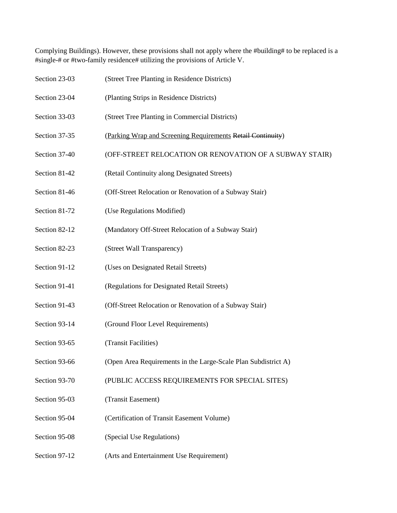Complying Buildings). However, these provisions shall not apply where the #building# to be replaced is a #single-# or #two-family residence# utilizing the provisions of Article V.

| Section 23-03 | (Street Tree Planting in Residence Districts)                  |
|---------------|----------------------------------------------------------------|
| Section 23-04 | (Planting Strips in Residence Districts)                       |
| Section 33-03 | (Street Tree Planting in Commercial Districts)                 |
| Section 37-35 | (Parking Wrap and Screening Requirements Retail Continuity)    |
| Section 37-40 | (OFF-STREET RELOCATION OR RENOVATION OF A SUBWAY STAIR)        |
| Section 81-42 | (Retail Continuity along Designated Streets)                   |
| Section 81-46 | (Off-Street Relocation or Renovation of a Subway Stair)        |
| Section 81-72 | (Use Regulations Modified)                                     |
| Section 82-12 | (Mandatory Off-Street Relocation of a Subway Stair)            |
| Section 82-23 | (Street Wall Transparency)                                     |
| Section 91-12 | (Uses on Designated Retail Streets)                            |
| Section 91-41 | (Regulations for Designated Retail Streets)                    |
| Section 91-43 | (Off-Street Relocation or Renovation of a Subway Stair)        |
| Section 93-14 | (Ground Floor Level Requirements)                              |
| Section 93-65 | (Transit Facilities)                                           |
| Section 93-66 | (Open Area Requirements in the Large-Scale Plan Subdistrict A) |
| Section 93-70 | (PUBLIC ACCESS REQUIREMENTS FOR SPECIAL SITES)                 |
| Section 95-03 | (Transit Easement)                                             |
| Section 95-04 | (Certification of Transit Easement Volume)                     |
| Section 95-08 | (Special Use Regulations)                                      |
| Section 97-12 | (Arts and Entertainment Use Requirement)                       |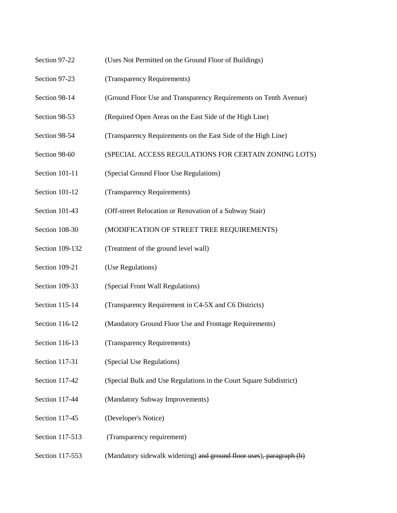- Section 97-22 (Uses Not Permitted on the Ground Floor of Buildings)
- Section 97-23 (Transparency Requirements)
- Section 98-14 (Ground Floor Use and Transparency Requirements on Tenth Avenue)
- Section 98-53 (Required Open Areas on the East Side of the High Line)
- Section 98-54 (Transparency Requirements on the East Side of the High Line)
- Section 98-60 (SPECIAL ACCESS REGULATIONS FOR CERTAIN ZONING LOTS)
- Section 101-11 (Special Ground Floor Use Regulations)
- Section 101-12 (Transparency Requirements)
- Section 101-43 (Off-street Relocation or Renovation of a Subway Stair)
- Section 108-30 (MODIFICATION OF STREET TREE REQUIREMENTS)
- Section 109-132 (Treatment of the ground level wall)
- Section 109-21 (Use Regulations)
- Section 109-33 (Special Front Wall Regulations)
- Section 115-14 (Transparency Requirement in C4-5X and C6 Districts)
- Section 116-12 (Mandatory Ground Floor Use and Frontage Requirements)
- Section 116-13 (Transparency Requirements)
- Section 117-31 (Special Use Regulations)
- Section 117-42 (Special Bulk and Use Regulations in the Court Square Subdistrict)
- Section 117-44 (Mandatory Subway Improvements)
- Section 117-45 (Developer's Notice)
- Section 117-513 (Transparency requirement)
- Section 117-553 (Mandatory sidewalk widening) and ground floor uses), paragraph (b)